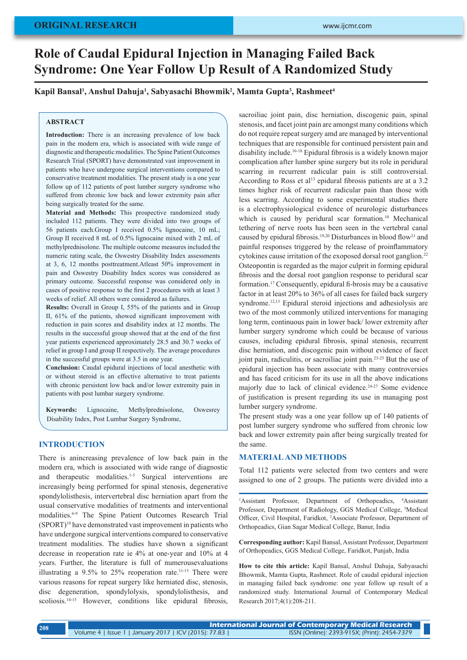# **Role of Caudal Epidural Injection in Managing Failed Back Syndrome: One Year Follow Up Result of A Randomized Study**

## **Kapil Bansal1 , Anshul Dahuja1 , Sabyasachi Bhowmik2 , Mamta Gupta3 , Rashmeet4**

#### **ABSTRACT**

**Introduction:** There is an increasing prevalence of low back pain in the modern era, which is associated with wide range of diagnostic and therapeutic modalities. The Spine Patient Outcomes Research Trial (SPORT) have demonstrated vast improvement in patients who have undergone surgical interventions compared to conservative treatment modalities. The present study is a one year follow up of 112 patients of post lumber surgery syndrome who suffered from chronic low back and lower extremity pain after being surgically treated for the same.

**Material and Methods:** This prospective randomized study included 112 patients. They were divided into two groups of 56 patients each.Group I received 0.5% lignocaine, 10 mL; Group II received 8 mL of 0.5% lignocaine mixed with 2 mL of methylprednisolone. The multiple outcome measures included the numeric rating scale, the Oswestry Disability Index assessments at 3, 6, 12 months posttreatment.Atleast 50% improvement in pain and Oswestry Disability Index scores was considered as primary outcome. Successful response was considered only in cases of positive response to the first 2 procedures with at least 3 weeks of relief. All others were considered as failures.

**Results:** Overall in Group I, 55% of the patients and in Group II, 61% of the patients, showed significant improvement with reduction in pain scores and disability index at 12 months. The results in the successful group showed that at the end of the first year patients experienced approximately 28.5 and 30.7 weeks of relief in group I and group II respectively. The average procedures in the successful groups were at 3.5 in one year.

**Conclusion:** Caudal epidural injections of local anesthetic with or without steroid is an effective alternative to treat patients with chronic persistent low back and/or lower extremity pain in patients with post lumbar surgery syndrome.

**Keywords:** Lignocaine, Methylprednisolone, Oswesrey Disability Index, Post Lumbar Surgery Syndrome,

# **INTRODUCTION**

There is anincreasing prevalence of low back pain in the modern era, which is associated with wide range of diagnostic and therapeutic modalities.<sup>1-5</sup> Surgical interventions are increasingly being performed for spinal stenosis, degenerative spondylolisthesis, intervertebral disc herniation apart from the usual conservative modalities of treatments and interventional modalities.6-9 The Spine Patient Outcomes Research Trial (SPORT)10 have demonstrated vast improvement in patients who have undergone surgical interventions compared to conservative treatment modalities. The studies have shown a significant decrease in reoperation rate ie 4% at one-year and 10% at 4 years. Further, the literature is full of numerousevaluations illustrating a  $9.5\%$  to  $25\%$  reoperation rate.<sup>11-13</sup> There were various reasons for repeat surgery like herniated disc, stenosis, disc degeneration, spondylolysis, spondylolisthesis, and scoliosis.<sup>14-15</sup> However, conditions like epidural fibrosis, sacroiliac joint pain, disc herniation, discogenic pain, spinal stenosis, and facet joint pain are amongst many conditions which do not require repeat surgery amd are managed by interventional techniques that are responsible for continued persistent pain and disability include.16-18 Epidural fibrosis is a widely known major complication after lumber spine surgery but its role in peridural scarring in recurrent radicular pain is still controversial. According to Ross et al<sup>13</sup> epidural fibrosis patients are at a 3.2 times higher risk of recurrent radicular pain than those with less scarring. According to some experimental studies there is a electrophysiological evidence of neurologic disturbances which is caused by peridural scar formation.<sup>18</sup> Mechanical tethering of nerve roots has been seen in the vertebral canal caused by epidural fibrosis.<sup>19,20</sup> Disturbances in blood flow<sup>21</sup> and painful responses triggered by the release of proinflammatory cytokines cause irritation of the exoposed dorsal root ganglion.<sup>22</sup> Osteopontin is regarded as the major culprit in forming epidural fibrosis and the dorsal root ganglion response to peridural scar formation.17 Consequently, epidural fi-brosis may be a causative factor in at least 20% to 36% of all cases for failed back surgery syndrome.<sup>12,13</sup> Epidural steroid injections and adhesiolysis are two of the most commonly utilized interventions for managing long term, continuous pain in lower back/ lower extremity after lumber surgery syndrome which could be because of various causes, including epidural fibrosis, spinal stenosis, recurrent disc herniation, and discogenic pain without evidence of facet joint pain, radiculitis, or sacroiliac joint pain.23-25 But the use of epidural injection has been associate with many controversies and has faced criticism for its use in all the above indications majorly due to lack of clinical evidence.<sup>24-27</sup> Some evidence of justification is present regarding its use in managing post lumber surgery syndrome.

The present study was a one year follow up of 140 patients of post lumber surgery syndrome who suffered from chronic low back and lower extremity pain after being surgically treated for the same.

## **MATERIAL AND METHODS**

Total 112 patients were selected from two centers and were assigned to one of 2 groups. The patients were divided into a

<sup>1</sup>Assistant Professor, Department of Orthopeadics, <sup>4</sup>Assistant Professor, Department of Radiology, GGS Medical College, 3 Medical Officer, Civil Hospital, Faridkot, <sup>2</sup> Associate Professor, Department of Orthopeadics, Gian Sagar Medical College, Banur, India

**Corresponding author:** Kapil Bansal, Assistant Professor, Department of Orthopeadics, GGS Medical College, Faridkot, Punjab, India

**How to cite this article:** Kapil Bansal, Anshul Dahuja, Sabyasachi Bhowmik, Mamta Gupta, Rashmeet. Role of caudal epidural injection in managing failed back syndrome: one year follow up result of a randomized study. International Journal of Contemporary Medical Research 2017;4(1):208-211.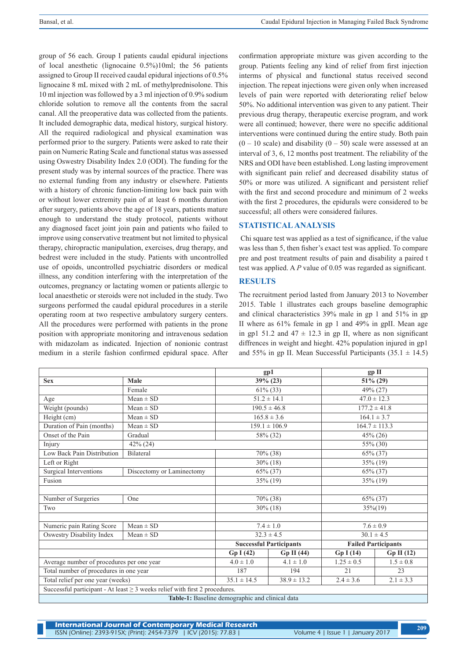group of 56 each. Group I patients caudal epidural injections of local anesthetic (lignocaine 0.5%)10ml; the 56 patients assigned to Group II received caudal epidural injections of 0.5% lignocaine 8 mL mixed with 2 mL of methylprednisolone. This 10 ml injection was followed by a 3 ml injection of 0.9% sodium chloride solution to remove all the contents from the sacral canal. All the preoperative data was collected from the patients. It included demographic data, medical history, surgical history. All the required radiological and physical examination was performed prior to the surgery. Patients were asked to rate their pain on Numeric Rating Scale and functional status was assessed using Oswestry Disability Index 2.0 (ODI). The funding for the present study was by internal sources of the practice. There was no external funding from any industry or elsewhere. Patients with a history of chronic function-limiting low back pain with or without lower extremity pain of at least 6 months duration after surgery, patients above the age of 18 years, patients mature enough to understand the study protocol, patients without any diagnosed facet joint join pain and patients who failed to improve using conservative treatment but not limited to physical therapy, chiropractic manipulation, exercises, drug therapy, and bedrest were included in the study. Patients with uncontrolled use of opoids, uncontrolled psychiatric disorders or medical illness, any condition interfering with the interpretation of the outcomes, pregnancy or lactating women or patients allergic to local anaesthetic or steroids were not included in the study. Two surgeons performed the caudal epidural procedures in a sterile operating room at two respective ambulatory surgery centers. All the procedures were performed with patients in the prone position with appropriate monitoring and intravenous sedation with midazolam as indicated. Injection of nonionic contrast medium in a sterile fashion confirmed epidural space. After confirmation appropriate mixture was given according to the group. Patients feeling any kind of relief from first injection interms of physical and functional status received second injection. The repeat injections were given only when increased levels of pain were reported with deteriorating relief below 50%. No additional intervention was given to any patient. Their previous drug therapy, therapeutic exercise program, and work were all continued; however, there were no specific additional interventions were continued during the entire study. Both pain  $(0 - 10 \text{ scale})$  and disability  $(0 - 50)$  scale were assessed at an interval of 3, 6, 12 months post treatment. The reliability of the NRS and ODI have been established. Long lasting improvement with significant pain relief and decreased disability status of 50% or more was utilized. A significant and persistent relief with the first and second procedure and minimum of 2 weeks with the first 2 procedures, the epidurals were considered to be successful: all others were considered failures.

#### **STATISTICAL ANALYSIS**

 Chi square test was applied as a test of significance, if the value was less than 5, then fisher's exact test was applied. To compare pre and post treatment results of pain and disability a paired t test was applied. A *P* value of 0.05 was regarded as significant.

#### **RESULTS**

The recruitment period lasted from January 2013 to November 2015. Table 1 illustrates each groups baseline demographic and clinical characteristics 39% male in gp 1 and 51% in gp II where as 61% female in gp 1 and 49% in gpII. Mean age in gp1 51.2 and 47  $\pm$  12.3 in gp II, where as non significant diffrences in weight and hieght. 42% population injured in gp1 and 55% in gp II. Mean Successful Participants  $(35.1 \pm 14.5)$ 

|                                                                                  |                           | gp1                            |                                      | $gp$ II                    |                   |  |  |
|----------------------------------------------------------------------------------|---------------------------|--------------------------------|--------------------------------------|----------------------------|-------------------|--|--|
| <b>Sex</b>                                                                       | Male                      | 39% (23)                       |                                      | 51% (29)                   |                   |  |  |
|                                                                                  | Female                    |                                | $61\%$ (33)                          |                            | 49% (27)          |  |  |
| Age                                                                              | $Mean \pm SD$             | $51.2 \pm 14.1$                |                                      | $47.0 \pm 12.3$            |                   |  |  |
| Weight (pounds)                                                                  | Mean $\pm$ SD             |                                | $177.2 \pm 41.8$<br>$190.5 \pm 46.8$ |                            |                   |  |  |
| Height (cm)                                                                      | $Mean \pm SD$             |                                | $165.8 \pm 3.6$                      | $164.1 \pm 3.7$            |                   |  |  |
| Duration of Pain (months)                                                        | $Mean \pm SD$             | $159.1 \pm 106.9$              |                                      |                            | $164.7 \pm 113.3$ |  |  |
| Onset of the Pain                                                                | Gradual                   | 58% (32)                       |                                      | 45% (26)                   |                   |  |  |
| Injury<br>$42\%$ (24)                                                            |                           |                                |                                      | 55% (30)                   |                   |  |  |
| Low Back Pain Distribution                                                       | <b>Bilateral</b>          | $70\%$ (38)                    |                                      | 65% (37)                   |                   |  |  |
| Left or Right                                                                    |                           | $30\%$ (18)                    |                                      | 35% (19)                   |                   |  |  |
| Surgical Interventions                                                           | Discectomy or Laminectomy | $65\% (37)$                    |                                      | 65% (37)                   |                   |  |  |
| Fusion                                                                           |                           | $35\%$ (19)                    |                                      | 35% (19)                   |                   |  |  |
|                                                                                  |                           |                                |                                      |                            |                   |  |  |
| Number of Surgeries                                                              | One                       | $70\%$ (38)                    |                                      | 65% (37)                   |                   |  |  |
| Two                                                                              |                           | $30\%$ (18)                    |                                      | $35\% (19)$                |                   |  |  |
|                                                                                  |                           |                                |                                      |                            |                   |  |  |
| Numeric pain Rating Score                                                        | $Mean \pm SD$             | $7.4 \pm 1.0$                  |                                      | $7.6 \pm 0.9$              |                   |  |  |
| Oswestry Disability Index                                                        | $Mean \pm SD$             | $32.3 \pm 4.5$                 |                                      | $30.1 \pm 4.5$             |                   |  |  |
|                                                                                  |                           | <b>Successful Participants</b> |                                      | <b>Failed Participants</b> |                   |  |  |
|                                                                                  |                           | Gp I (42)                      | Gp II (44)                           | Gp I (14)                  | Gp II (12)        |  |  |
| Average number of procedures per one year                                        |                           | $4.0 \pm 1.0$                  | $4.1 \pm 1.0$                        | $1.25 \pm 0.5$             | $1.5 \pm 0.8$     |  |  |
| Total number of procedures in one year                                           |                           | 187                            | 194                                  | 21                         | 23                |  |  |
| Total relief per one year (weeks)                                                |                           | $35.1 \pm 14.5$                | $38.9 \pm 13.2$                      | $2.4 \pm 3.6$              | $2.1 \pm 3.3$     |  |  |
| Successful participant - At least $\geq$ 3 weeks relief with first 2 procedures. |                           |                                |                                      |                            |                   |  |  |
| Table 1. Receive demographic and clinical data                                   |                           |                                |                                      |                            |                   |  |  |

**Table-1:** Baseline demographic and clinical data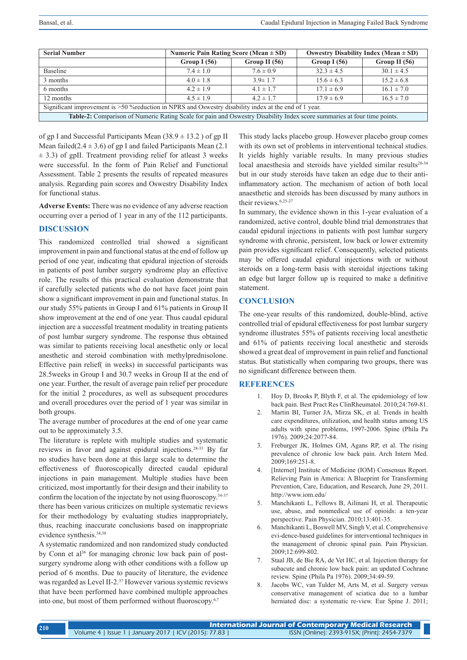| <b>Serial Number</b>                                                                                                    | Numeric Pain Rating Score (Mean $\pm$ SD) |                 | Oswestry Disability Index (Mean $\pm$ SD) |                 |  |  |  |  |
|-------------------------------------------------------------------------------------------------------------------------|-------------------------------------------|-----------------|-------------------------------------------|-----------------|--|--|--|--|
|                                                                                                                         | Group I $(56)$                            | Group II $(56)$ | Group I $(56)$                            | Group II $(56)$ |  |  |  |  |
| Baseline                                                                                                                | $7.4 \pm 1.0$                             | $7.6 \pm 0.9$   | $32.3 \pm 4.5$                            | $30.1 \pm 4.5$  |  |  |  |  |
| 3 months                                                                                                                | $4.0 \pm 1.8$                             | $39 \pm 17$     | $15.6 \pm 6.3$                            | $15.2 \pm 6.8$  |  |  |  |  |
| 6 months                                                                                                                | $4.2 \pm 1.9$                             | $41 \pm 17$     | $17.1 \pm 6.9$                            | $16.1 \pm 7.0$  |  |  |  |  |
| 12 months                                                                                                               | $4.5 \pm 1.9$                             | $42 \pm 17$     | $17.9 \pm 6.9$                            | $16.5 \pm 7.0$  |  |  |  |  |
| Significant improvement is >50 % reduction in NPRS and Oswestry disability index at the end of 1 year.                  |                                           |                 |                                           |                 |  |  |  |  |
| Table-2: Comparison of Numeric Rating Scale for pain and Oswestry Disability Index score summaries at four time points. |                                           |                 |                                           |                 |  |  |  |  |

of gp I and Successful Participants Mean  $(38.9 \pm 13.2)$  of gp II Mean failed( $2.4 \pm 3.6$ ) of gp I and failed Participants Mean (2.1)  $\pm$  3.3) of gpII. Treatment providing relief for atleast 3 weeks were successful. In the form of Pain Relief and Functional Assessment. Table 2 presents the results of repeated measures analysis. Regarding pain scores and Oswestry Disability Index for functional status.

**Adverse Events:** There was no evidence of any adverse reaction occurring over a period of 1 year in any of the 112 participants.

## **DISCUSSION**

This randomized controlled trial showed a significant improvement in pain and functional status at the end of follow up period of one year, indicating that epidural injection of steroids in patients of post lumber surgery syndrome play an effective role. The results of this practical evaluation demonstrate that if carefully selected patients who do not have facet joint pain show a significant improvement in pain and functional status. In our study 55% patients in Group I and 61% patients in Group II show improvement at the end of one year. Thus caudal epidural injection are a successful treatment modality in treating patients of post lumbar surgery syndrome. The response thus obtained was similar to patients receiving local anesthetic only or local anesthetic and steroid combination with methylprednisolone. Effective pain relief( in weeks) in successful participants was 28.5weeks in Group I and 30.7 weeks in Group II at the end of one year. Further, the result of average pain relief per procedure for the initial 2 procedures, as well as subsequent procedures and overall procedures over the period of 1 year was similar in both groups.

The average number of procedures at the end of one year came out to be approximately 3.5.

The literature is replete with multiple studies and systematic reviews in favor and against epidural injections.28-33 By far no studies have been done at this large scale to determine the effectiveness of fluoroscopically directed caudal epidural injections in pain management. Multiple studies have been criticized, most importantly for their design and their inability to confirm the location of the injectate by not using fluoroscopy.<sup>34-37</sup> there has been various criticizes on multiple systematic reviews for their methodology by evaluating studies inappropriately, thus, reaching inaccurate conclusions based on inappropriate evidence synthesis.<sup>34,38</sup>

A systematic randomized and non randomized study conducted by Conn et al<sup>36</sup> for managing chronic low back pain of postsurgery syndrome along with other conditions with a follow up period of 6 months. Due to paucity of literature, the evidence was regarded as Level II-2.<sup>37</sup> However various systemic reviews that have been performed have combined multiple approaches into one, but most of them performed without fluoroscopy.<sup>6,7</sup>

This study lacks placebo group. However placebo group comes with its own set of problems in interventional technical studies. It yields highly variable results. In many previous studies local anaesthesia and steroids have yielded similar results<sup>28-34</sup> but in our study steroids have taken an edge due to their antiinflammatory action. The mechanism of action of both local anaesthetic and steroids has been discussed by many authors in their reviews.<sup>6,25-27</sup>

In summary, the evidence shown in this 1-year evaluation of a randomized, active control, double blind trial demonstrates that caudal epidural injections in patients with post lumbar surgery syndrome with chronic, persistent, low back or lower extremity pain provides significant relief. Consequently, selected patients may be offered caudal epidural injections with or without steroids on a long-term basis with steroidal injections taking an edge but larger follow up is required to make a definitive statement.

# **CONCLUSION**

The one-year results of this randomized, double-blind, active controlled trial of epidural effectiveness for post lumbar surgery syndrome illustrates 55% of patients receiving local anesthetic and 61% of patients receiving local anesthetic and steroids showed a great deal of improvement in pain relief and functional status. But statistically when comparing two groups, there was no significant difference between them.

## **REFERENCES**

- 1. Hoy D, Brooks P, Blyth F, et al. The epidemiology of low back pain. Best Pract Res ClinRheumatol. 2010;24:769-81.
- 2. Martin BI, Turner JA, Mirza SK, et al. Trends in health care expenditures, utilization, and health status among US adults with spine problems, 1997-2006. Spine (Phila Pa 1976). 2009;24:2077-84.
- 3. Freburger JK, Holmes GM, Agans RP, et al. The rising prevalence of chronic low back pain. Arch Intern Med. 2009;169:251-8.
- 4. [Internet] Institute of Medicine (IOM) Consensus Report. Relieving Pain in America: A Blueprint for Transforming Prevention, Care, Education, and Research, June 29, 2011. http://www.iom.edu/
- 5. Manchikanti L, Fellows B, Ailinani H, et al. Therapeutic use, abuse, and nonmedical use of opioids: a ten-year perspective. Pain Physician. 2010;13:401-35.
- 6. Manchikanti L, Boswell MV, Singh V, et al. Comprehensive evi-dence-based guidelines for interventional techniques in the management of chronic spinal pain. Pain Physician. 2009;12:699-802.
- 7. Staal JB, de Bie RA, de Vet HC, et al. Injection therapy for subacute and chronic low back pain: an updated Cochrane review. Spine (Phila Pa 1976). 2009;34:49-59.
- 8. Jacobs WC, van Tulder M, Arts M, et al. Surgery versus conservative management of sciatica due to a lumbar herniated disc: a systematic re-view. Eur Spine J. 2011;